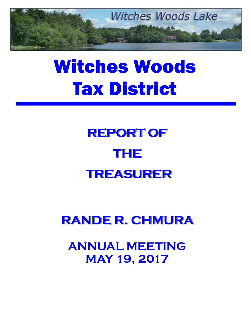

# Witches Woods Tax District

## **REPORT OF THE TREASURER**

### **RANDE R. CHMURA**

**ANNUAL MEETING MAY 19, 2017**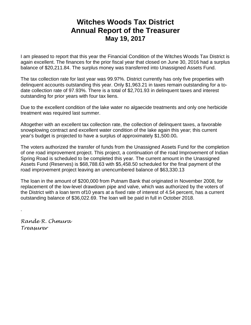#### **Witches Woods Tax District Annual Report of the Treasurer May 19, 2017**

I am pleased to report that this year the Financial Condition of the Witches Woods Tax District is again excellent. The finances for the prior fiscal year that closed on June 30, 2016 had a surplus balance of \$20,211.84. The surplus money was transferred into Unassigned Assets Fund.

The tax collection rate for last year was 99.97%. District currently has only five properties with delinquent accounts outstanding this year. Only \$1,963.21 in taxes remain outstanding for a todate collection rate of 97.93%. There is a total of \$2,701.93 in delinquent taxes and interest outstanding for prior years with four tax liens.

Due to the excellent condition of the lake water no algaecide treatments and only one herbicide treatment was required last summer.

Altogether with an excellent tax collection rate, the collection of delinquent taxes, a favorable snowplowing contract and excellent water condition of the lake again this year; this current year's budget is projected to have a surplus of approximately \$1,500.00**.** 

The voters authorized the transfer of funds from the Unassigned Assets Fund for the completion of one road improvement project. This project, a continuation of the road Improvement of Indian Spring Road is scheduled to be completed this year. The current amount in the Unassigned Assets Fund (Reserves) is \$68,788.63 with \$5,458.50 scheduled for the final payment of the road improvement project leaving an unencumbered balance of \$63,330.13

The loan in the amount of \$200,000 from Putnam Bank that originated in November 2008, for replacement of the low-level drawdown pipe and valve, which was authorized by the voters of the District with a loan term of10 years at a fixed rate of interest of 4.54 percent, has a current outstanding balance of \$36,022.69. The loan will be paid in full in October 2018.

*Rande R. Chmura Treasurer* 

.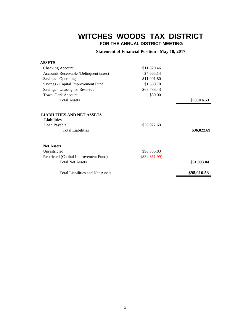#### **WITCHES WOODS TAX DISTRICT**

 **FOR THE ANNUAL DISTRICT MEETING**

**Statement of Financial Position - May 18, 2017**

| <b>ASSETS</b>                                           |                 |             |
|---------------------------------------------------------|-----------------|-------------|
| Checking Account                                        | \$11,820.46     |             |
| Accounts Receivable (Delinquent taxes)                  | \$4,665.14      |             |
| Savings - Operating                                     | \$11,001.80     |             |
| Savings - Capital Improvement Fund                      | \$1,660.70      |             |
| Savings - Unassigned Reserves                           | \$68,788.43     |             |
| <b>Town Clerk Account</b>                               | \$80.00         |             |
| <b>Total Assets</b>                                     |                 | \$98,016.53 |
| <b>LIABILITIES AND NET ASSETS</b><br><b>Liabilities</b> |                 |             |
| Loan Payable                                            | \$36,022.69     |             |
| <b>Total Liabilities</b>                                |                 | \$36,022.69 |
| <b>Net Assets</b>                                       |                 |             |
| Unrestricted                                            | \$96,355.83     |             |
| Restricted (Capital Improvement Fund)                   | $(\$34,361.99)$ |             |
| <b>Total Net Assets</b>                                 |                 | \$61,993.84 |
| <b>Total Liabilities and Net Assets</b>                 |                 | \$98,016.53 |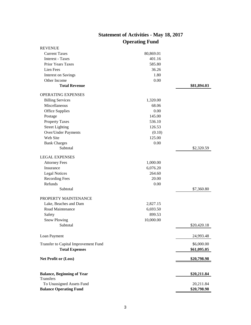| <b>REVENUE</b>                                 |           |             |
|------------------------------------------------|-----------|-------------|
| <b>Current Taxes</b>                           | 80,869.01 |             |
| <b>Interest - Taxes</b>                        | 401.16    |             |
| Prior Years Taxes                              | 585.80    |             |
| Lien Fees                                      | 36.26     |             |
| <b>Interest on Savings</b>                     | 1.80      |             |
| Other Income                                   | 0.00      |             |
| <b>Total Revenue</b>                           |           | \$81,894.03 |
| <b>OPERATING EXPENSES</b>                      |           |             |
| <b>Billing Services</b>                        | 1,320.00  |             |
| Miscellaneous                                  | 68.06     |             |
| <b>Office Supplies</b>                         | 0.00      |             |
| Postage                                        | 145.00    |             |
| <b>Property Taxes</b>                          | 536.10    |             |
| <b>Street Lighting</b>                         | 126.53    |             |
| <b>Over/Under Payments</b>                     | (0.10)    |             |
| Web Site                                       | 125.00    |             |
| <b>Bank Charges</b>                            |           |             |
| Subtotal                                       | 0.00      | \$2,320.59  |
|                                                |           |             |
| <b>LEGAL EXPENSES</b>                          |           |             |
| <b>Attorney Fees</b>                           | 1,000.00  |             |
| Insurance                                      | 6,076.20  |             |
| <b>Legal Notices</b>                           | 264.60    |             |
| <b>Recording Fees</b>                          | 20.00     |             |
| Refunds                                        | 0.00      |             |
| Subtotal                                       |           | \$7,360.80  |
| PROPERTY MAINTENANCE                           |           |             |
| Lake, Beaches and Dam                          | 2,827.15  |             |
| Road Maintenance                               | 6,693.50  |             |
| Safety                                         | 899.53    |             |
| <b>Snow Plowing</b>                            | 10,000.00 |             |
| Subtotal                                       |           | \$20,420.18 |
|                                                |           |             |
| Loan Payment                                   |           | 24,993.48   |
| Transfer to Capital Improvement Fund           |           | \$6,000.00  |
| <b>Total Expenses</b>                          |           | \$61,095.05 |
|                                                |           |             |
| <b>Net Profit or (Loss)</b>                    |           | \$20,798.98 |
|                                                |           |             |
| <b>Balance, Beginning of Year</b><br>Transfers |           | \$20,211.84 |
| To Unassigned Assets Fund                      |           | 20,211.84   |
| <b>Balance Operating Fund</b>                  |           | \$20,798.98 |
|                                                |           |             |

#### **Statement of Activities - May 18, 2017 Operating Fund**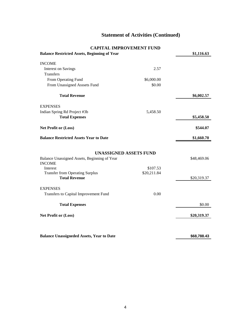#### **Statement of Activities (Continued)**

#### **CAPITAL IMPROVEMENT FUND**

| <b>Balance Restricted Assets, Beginning of Year</b>                           |             | \$1,116.63  |
|-------------------------------------------------------------------------------|-------------|-------------|
| <b>INCOME</b>                                                                 |             |             |
| <b>Interest on Savings</b>                                                    | 2.57        |             |
| <b>Transfers</b>                                                              |             |             |
| From Operating Fund                                                           | \$6,000.00  |             |
| From Unassigned Asssets Fund                                                  | \$0.00      |             |
| <b>Total Revenue</b>                                                          |             | \$6,002.57  |
| <b>EXPENSES</b>                                                               |             |             |
| Indian Spring Rd Project #3b                                                  | 5,458.50    |             |
| <b>Total Expenses</b>                                                         |             | \$5,458.50  |
| Net Profit or (Loss)                                                          |             | \$544.07    |
| <b>Balance Restricted Assets Year to Date</b>                                 |             | \$1,660.70  |
| <b>UNASSIGNED ASSETS FUND</b><br>Balance Unassigned Assets, Beginning of Year |             | \$48,469.06 |
| <b>INCOME</b>                                                                 |             |             |
| Interest                                                                      | \$107.53    |             |
| <b>Transfer from Operating Surplus</b><br><b>Total Revenue</b>                | \$20,211.84 | \$20,319.37 |
| <b>EXPENSES</b>                                                               |             |             |
| Transfers to Capital Improvement Fund                                         | 0.00        |             |
| <b>Total Expenses</b>                                                         |             | \$0.00      |
| <b>Net Profit or (Loss)</b>                                                   |             | \$20,319.37 |
|                                                                               |             |             |
| <b>Balance Unassigneded Assets, Year to Date</b>                              |             | \$68,788.43 |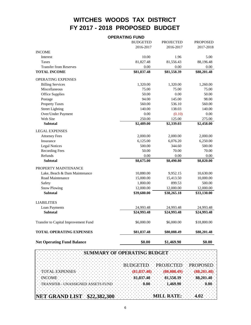#### **WITCHES WOODS TAX DISTRICT FY 2017 - 2018 PROPOSED BUDGET**

|                                      | <b>OPERATING FUND</b> |                  |                 |
|--------------------------------------|-----------------------|------------------|-----------------|
|                                      | <b>BUDGETED</b>       | <b>PROJECTED</b> | <b>PROPOSED</b> |
|                                      | 2016-2017             | 2016-2017        | 2017-2018       |
| <b>INCOME</b>                        |                       |                  |                 |
| Interest                             | 10.00                 | 1.96             | 5.00            |
| <b>Taxes</b>                         | 81,827.48             | 81,556.43        | 88,196.48       |
| <b>Transfer from Reserves</b>        | $0.00\,$              | 0.00             | 0.00            |
| <b>TOTAL INCOME</b>                  | \$81,837.48           | \$81,558.39      | \$88,201.48     |
| OPERATING EXPENSES                   |                       |                  |                 |
| <b>Billing Services</b>              | 1,320.00              | 1,320.00         | 1,260.00        |
| Miscellaneous                        | 75.00                 | 75.00            | 75.00           |
| <b>Office Supplies</b>               | 50.00                 | 0.00             | 50.00           |
| Postage                              | 94.00                 | 145.00           | 98.00           |
| <b>Property Taxes</b>                | 560.00                | 536.10           | 560.00          |
| <b>Street Lighting</b>               | 140.00                | 138.03           | 140.00          |
| Over/Under Payment                   | 0.00                  | (0.10)           | 0.00            |
| Web Site                             | 250.00                | 125.00           | 275.00          |
| <b>Subtotal</b>                      | \$2,489.00            | \$2,339.03       | \$2,458.00      |
| <b>LEGAL EXPENSES</b>                |                       |                  |                 |
| <b>Attorney Fees</b>                 | 2,000.00              | 2,000.00         | 2,000.00        |
| Insurance                            | 6,125.00              | 6,076.20         | 6,250.00        |
| <b>Legal Notices</b>                 | 500.00                | 344.60           | 500.00          |
| <b>Recording Fees</b>                | 50.00                 | 70.00            | 70.00           |
| Refunds                              | 0.00                  | 0.00             | 0.00            |
| <b>Subtotal</b>                      | \$8,675.00            | \$8,490.80       | \$8,820.00      |
| PROPERTY MAINTENANCE                 |                       |                  |                 |
| Lake, Beach & Dam Maintenance        | 10,880.00             | 9,952.15         | 10,630.00       |
| Road Maintenance                     | 15,000.00             | 15,413.50        | 10,000.00       |
| Safety                               | 1,800.00              | 899.53           | 500.00          |
| <b>Snow Plowing</b>                  | 12,000.00             | 12,000.00        | 12,000.00       |
| <b>Subtotal</b>                      | \$39,680.00           | \$38,265.18      | \$33,130.00     |
| <b>LIABILITIES</b>                   |                       |                  |                 |
| Loan Payments                        | 24,993.48             | 24,993.48        | 24,993.48       |
| <b>Subtotal</b>                      | \$24,993.48           | \$24,993.48      | \$24,993.48     |
| Transfer to Capital Improvement Fund | \$6,000.00            | \$6,000.00       | \$18,800.00     |
| <b>TOTAL OPERATING EXPENSES</b>      | \$81,837.48           | \$80,088.49      | \$88,201.48     |
| <b>Net Operating Fund Balance</b>    | \$0.00                | \$1,469.90       | \$0.00          |

|                                    |                                                                |  |  | SUMMARY OF OPERATING BUDGET                                    |  |  |  |  |                   |  |  |  |                                           |  |
|------------------------------------|----------------------------------------------------------------|--|--|----------------------------------------------------------------|--|--|--|--|-------------------|--|--|--|-------------------------------------------|--|
|                                    |                                                                |  |  |                                                                |  |  |  |  |                   |  |  |  |                                           |  |
|                                    |                                                                |  |  |                                                                |  |  |  |  |                   |  |  |  | BUDGETED PROJECTED PROPOSED               |  |
|                                    | TOTAL EXPENSES AND TOTAL EXPENSES                              |  |  |                                                                |  |  |  |  |                   |  |  |  | $(81,837.48)$ $(80,088.49)$ $(88,201.48)$ |  |
|                                    | <b>INCOME</b>                                                  |  |  | . The contract of the contract of the contract of the $\alpha$ |  |  |  |  |                   |  |  |  | 81,837.48 81,558.39 88,201.48             |  |
|                                    | TRANSFER - UNASSIGNED ASSETS FUND 0.00 1.469.90 0.00 0.00 0.00 |  |  |                                                                |  |  |  |  |                   |  |  |  |                                           |  |
|                                    |                                                                |  |  |                                                                |  |  |  |  |                   |  |  |  |                                           |  |
| <b>NET GRAND LIST \$22,382,300</b> |                                                                |  |  |                                                                |  |  |  |  | MILL RATE: $4.02$ |  |  |  |                                           |  |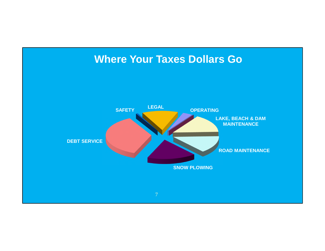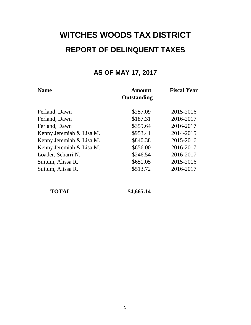### **WITCHES WOODS TAX DISTRICT REPORT OF DELINQUENT TAXES**

#### **AS OF MAY 17, 2017**

| <b>Name</b>              | <b>Amount</b><br>Outstanding | <b>Fiscal Year</b> |  |  |
|--------------------------|------------------------------|--------------------|--|--|
| Ferland, Dawn            | \$257.09                     | 2015-2016          |  |  |
| Ferland, Dawn            | \$187.31                     | 2016-2017          |  |  |
| Ferland, Dawn            | \$359.64                     | 2016-2017          |  |  |
| Kenny Jeremiah & Lisa M. | \$953.41                     | 2014-2015          |  |  |
| Kenny Jeremiah & Lisa M. | \$840.38                     | 2015-2016          |  |  |
| Kenny Jeremiah & Lisa M. | \$656.00                     | 2016-2017          |  |  |
| Loader, Scharri N.       | \$246.54                     | 2016-2017          |  |  |
| Suitum, Alissa R.        | \$651.05                     | 2015-2016          |  |  |
| Suitum, Alissa R.        | \$513.72                     | 2016-2017          |  |  |

 **TOTAL \$4,665.14**